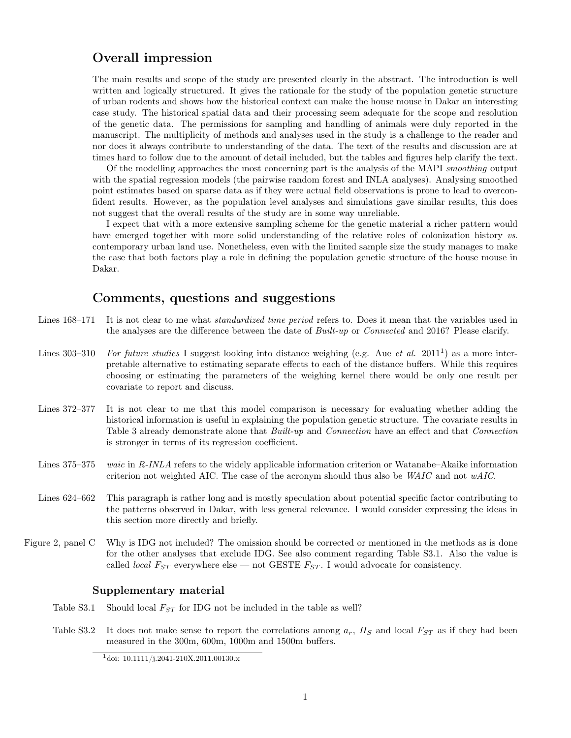# Overall impression

The main results and scope of the study are presented clearly in the abstract. The introduction is well written and logically structured. It gives the rationale for the study of the population genetic structure of urban rodents and shows how the historical context can make the house mouse in Dakar an interesting case study. The historical spatial data and their processing seem adequate for the scope and resolution of the genetic data. The permissions for sampling and handling of animals were duly reported in the manuscript. The multiplicity of methods and analyses used in the study is a challenge to the reader and nor does it always contribute to understanding of the data. The text of the results and discussion are at times hard to follow due to the amount of detail included, but the tables and figures help clarify the text.

Of the modelling approaches the most concerning part is the analysis of the MAPI smoothing output with the spatial regression models (the pairwise random forest and INLA analyses). Analysing smoothed point estimates based on sparse data as if they were actual field observations is prone to lead to overconfident results. However, as the population level analyses and simulations gave similar results, this does not suggest that the overall results of the study are in some way unreliable.

I expect that with a more extensive sampling scheme for the genetic material a richer pattern would have emerged together with more solid understanding of the relative roles of colonization history vs. contemporary urban land use. Nonetheless, even with the limited sample size the study manages to make the case that both factors play a role in defining the population genetic structure of the house mouse in Dakar.

### Comments, questions and suggestions

- Lines 168–171 It is not clear to me what *standardized time period* refers to. Does it mean that the variables used in the analyses are the difference between the date of *Built-up* or *Connected* and 2016? Please clarify.
- Lines  $303-310$  $303-310$  $303-310$  For future studies I suggest looking into distance weighing (e.g. Aue et al. 2011<sup>1</sup>) as a more interpretable alternative to estimating separate effects to each of the distance buffers. While this requires choosing or estimating the parameters of the weighing kernel there would be only one result per covariate to report and discuss.
- Lines 372–377 It is not clear to me that this model comparison is necessary for evaluating whether adding the historical information is useful in explaining the population genetic structure. The covariate results in Table 3 already demonstrate alone that Built-up and Connection have an effect and that Connection is stronger in terms of its regression coefficient.
- Lines 375–375 waic in R-INLA refers to the widely applicable information criterion or Watanabe–Akaike information criterion not weighted AIC. The case of the acronym should thus also be  $WAIC$  and not  $wAIC$ .
- Lines 624–662 This paragraph is rather long and is mostly speculation about potential specific factor contributing to the patterns observed in Dakar, with less general relevance. I would consider expressing the ideas in this section more directly and briefly.
- Figure 2, panel C Why is IDG not included? The omission should be corrected or mentioned in the methods as is done for the other analyses that exclude IDG. See also comment regarding Table S3.1. Also the value is called *local*  $F_{ST}$  everywhere else — not GESTE  $F_{ST}$ . I would advocate for consistency.

#### Supplementary material

- Table S3.1 Should local  $F_{ST}$  for IDG not be included in the table as well?
- Table S3.2 It does not make sense to report the correlations among  $a_r$ ,  $H_S$  and local  $F_{ST}$  as if they had been measured in the 300m, 600m, 1000m and 1500m buffers.

<span id="page-0-0"></span><sup>1</sup>[doi: 10.1111/j.2041-210X.2011.00130.x](https://doi.org/10.1111/j.2041-210X.2011.00130.x)